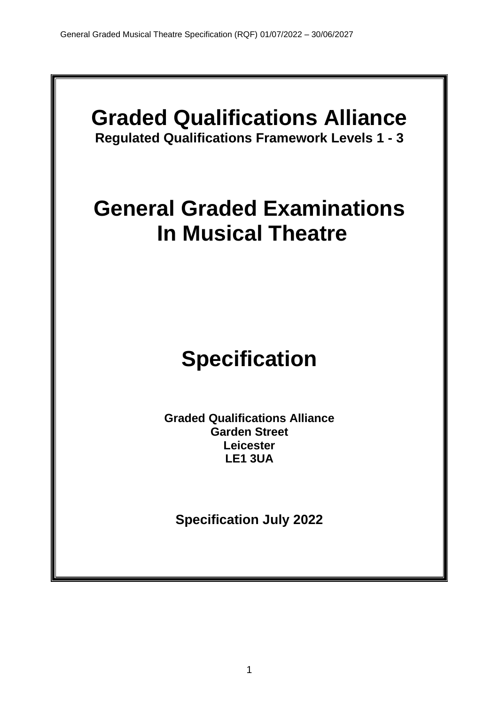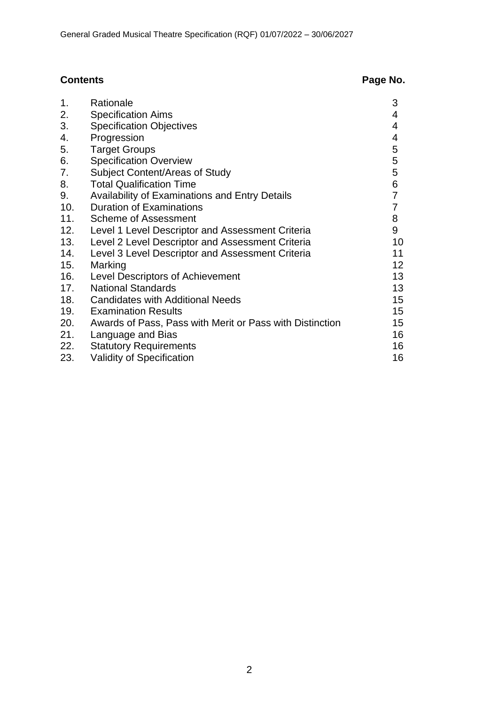# **Contents Page No.**

| 1.  | Rationale                                                | 3               |
|-----|----------------------------------------------------------|-----------------|
| 2.  | <b>Specification Aims</b>                                | 4               |
| 3.  | <b>Specification Objectives</b>                          | 4               |
| 4.  | Progression                                              | 4               |
| 5.  | <b>Target Groups</b>                                     | 5               |
| 6.  | <b>Specification Overview</b>                            | 5               |
| 7.  | Subject Content/Areas of Study                           | 5               |
| 8.  | <b>Total Qualification Time</b>                          | 6               |
| 9.  | Availability of Examinations and Entry Details           | $\overline{7}$  |
| 10. | <b>Duration of Examinations</b>                          | $\overline{7}$  |
| 11. | Scheme of Assessment                                     | 8               |
| 12. | Level 1 Level Descriptor and Assessment Criteria         | 9               |
| 13. | Level 2 Level Descriptor and Assessment Criteria         | 10              |
| 14. | Level 3 Level Descriptor and Assessment Criteria         | 11              |
| 15. | Marking                                                  | 12 <sub>2</sub> |
| 16. | <b>Level Descriptors of Achievement</b>                  | 13              |
| 17. | <b>National Standards</b>                                | 13              |
| 18. | <b>Candidates with Additional Needs</b>                  | 15 <sup>1</sup> |
| 19. | <b>Examination Results</b>                               | 15 <sub>1</sub> |
| 20. | Awards of Pass, Pass with Merit or Pass with Distinction | 15 <sub>1</sub> |
| 21. | Language and Bias                                        | 16              |
| 22. | <b>Statutory Requirements</b>                            | 16              |
| 23. | <b>Validity of Specification</b>                         | 16              |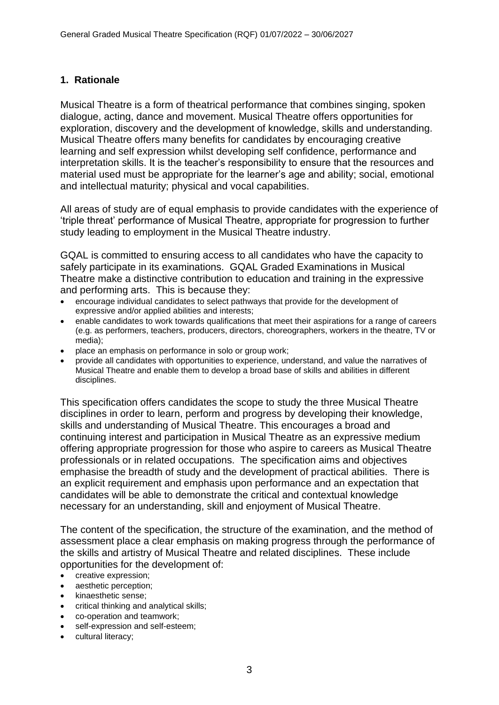#### **1. Rationale**

Musical Theatre is a form of theatrical performance that combines singing, spoken dialogue, acting, dance and movement. Musical Theatre offers opportunities for exploration, discovery and the development of knowledge, skills and understanding. Musical Theatre offers many benefits for candidates by encouraging creative learning and self expression whilst developing self confidence, performance and interpretation skills. It is the teacher's responsibility to ensure that the resources and material used must be appropriate for the learner's age and ability; social, emotional and intellectual maturity; physical and vocal capabilities.

All areas of study are of equal emphasis to provide candidates with the experience of 'triple threat' performance of Musical Theatre, appropriate for progression to further study leading to employment in the Musical Theatre industry.

GQAL is committed to ensuring access to all candidates who have the capacity to safely participate in its examinations. GQAL Graded Examinations in Musical Theatre make a distinctive contribution to education and training in the expressive and performing arts. This is because they:

- encourage individual candidates to select pathways that provide for the development of expressive and/or applied abilities and interests;
- enable candidates to work towards qualifications that meet their aspirations for a range of careers (e.g. as performers, teachers, producers, directors, choreographers, workers in the theatre, TV or media);
- place an emphasis on performance in solo or group work;
- provide all candidates with opportunities to experience, understand, and value the narratives of Musical Theatre and enable them to develop a broad base of skills and abilities in different disciplines.

This specification offers candidates the scope to study the three Musical Theatre disciplines in order to learn, perform and progress by developing their knowledge, skills and understanding of Musical Theatre. This encourages a broad and continuing interest and participation in Musical Theatre as an expressive medium offering appropriate progression for those who aspire to careers as Musical Theatre professionals or in related occupations. The specification aims and objectives emphasise the breadth of study and the development of practical abilities. There is an explicit requirement and emphasis upon performance and an expectation that candidates will be able to demonstrate the critical and contextual knowledge necessary for an understanding, skill and enjoyment of Musical Theatre.

The content of the specification, the structure of the examination, and the method of assessment place a clear emphasis on making progress through the performance of the skills and artistry of Musical Theatre and related disciplines. These include opportunities for the development of:

- creative expression;
- aesthetic perception;
- kinaesthetic sense;
- critical thinking and analytical skills;
- co-operation and teamwork;
- self-expression and self-esteem;
- cultural literacy;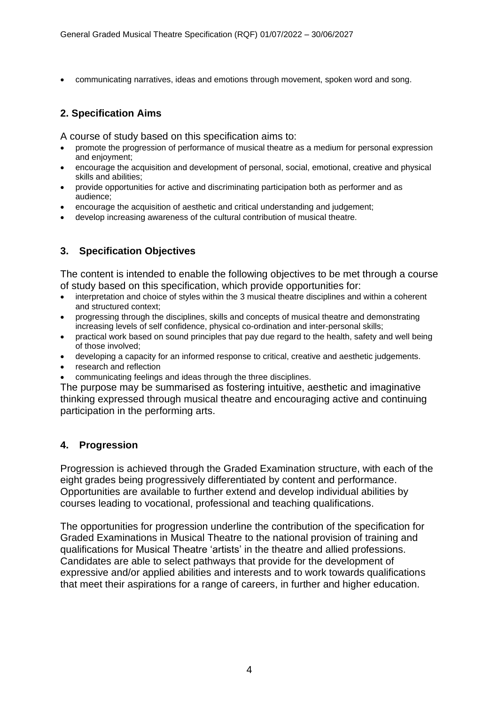• communicating narratives, ideas and emotions through movement, spoken word and song.

# **2. Specification Aims**

A course of study based on this specification aims to:

- promote the progression of performance of musical theatre as a medium for personal expression and enjoyment;
- encourage the acquisition and development of personal, social, emotional, creative and physical skills and abilities;
- provide opportunities for active and discriminating participation both as performer and as audience;
- encourage the acquisition of aesthetic and critical understanding and judgement;
- develop increasing awareness of the cultural contribution of musical theatre.

### **3. Specification Objectives**

The content is intended to enable the following objectives to be met through a course of study based on this specification, which provide opportunities for:

- interpretation and choice of styles within the 3 musical theatre disciplines and within a coherent and structured context;
- progressing through the disciplines, skills and concepts of musical theatre and demonstrating increasing levels of self confidence, physical co-ordination and inter-personal skills;
- practical work based on sound principles that pay due regard to the health, safety and well being of those involved;
- developing a capacity for an informed response to critical, creative and aesthetic judgements.
- research and reflection
- communicating feelings and ideas through the three disciplines.

The purpose may be summarised as fostering intuitive, aesthetic and imaginative thinking expressed through musical theatre and encouraging active and continuing participation in the performing arts.

#### **4. Progression**

Progression is achieved through the Graded Examination structure, with each of the eight grades being progressively differentiated by content and performance. Opportunities are available to further extend and develop individual abilities by courses leading to vocational, professional and teaching qualifications.

The opportunities for progression underline the contribution of the specification for Graded Examinations in Musical Theatre to the national provision of training and qualifications for Musical Theatre 'artists' in the theatre and allied professions. Candidates are able to select pathways that provide for the development of expressive and/or applied abilities and interests and to work towards qualifications that meet their aspirations for a range of careers, in further and higher education.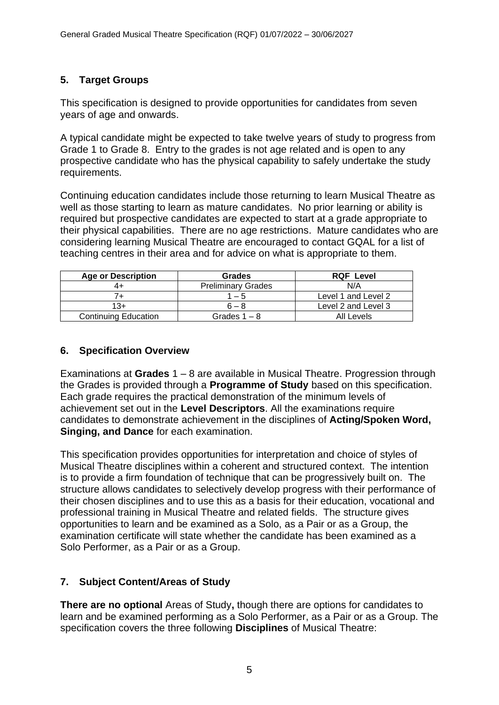# **5. Target Groups**

This specification is designed to provide opportunities for candidates from seven years of age and onwards.

A typical candidate might be expected to take twelve years of study to progress from Grade 1 to Grade 8. Entry to the grades is not age related and is open to any prospective candidate who has the physical capability to safely undertake the study requirements.

Continuing education candidates include those returning to learn Musical Theatre as well as those starting to learn as mature candidates. No prior learning or ability is required but prospective candidates are expected to start at a grade appropriate to their physical capabilities. There are no age restrictions. Mature candidates who are considering learning Musical Theatre are encouraged to contact GQAL for a list of teaching centres in their area and for advice on what is appropriate to them.

| <b>Age or Description</b>   | <b>Grades</b>             | <b>RQF Level</b>    |
|-----------------------------|---------------------------|---------------------|
| 4+                          | <b>Preliminary Grades</b> | N/A                 |
|                             | l – 5                     | Level 1 and Level 2 |
| 13+                         | $6 - 8$                   | Level 2 and Level 3 |
| <b>Continuing Education</b> | Grades $1 - 8$            | All Levels          |

#### **6. Specification Overview**

Examinations at **Grades** 1 – 8 are available in Musical Theatre. Progression through the Grades is provided through a **Programme of Study** based on this specification. Each grade requires the practical demonstration of the minimum levels of achievement set out in the **Level Descriptors**. All the examinations require candidates to demonstrate achievement in the disciplines of **Acting/Spoken Word, Singing, and Dance** for each examination.

This specification provides opportunities for interpretation and choice of styles of Musical Theatre disciplines within a coherent and structured context. The intention is to provide a firm foundation of technique that can be progressively built on. The structure allows candidates to selectively develop progress with their performance of their chosen disciplines and to use this as a basis for their education, vocational and professional training in Musical Theatre and related fields. The structure gives opportunities to learn and be examined as a Solo, as a Pair or as a Group, the examination certificate will state whether the candidate has been examined as a Solo Performer, as a Pair or as a Group.

# **7. Subject Content/Areas of Study**

**There are no optional** Areas of Study**,** though there are options for candidates to learn and be examined performing as a Solo Performer, as a Pair or as a Group. The specification covers the three following **Disciplines** of Musical Theatre: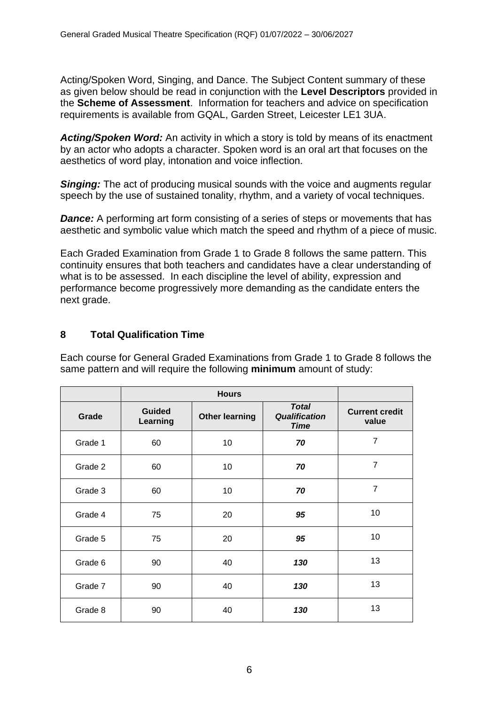Acting/Spoken Word, Singing, and Dance. The Subject Content summary of these as given below should be read in conjunction with the **Level Descriptors** provided in the **Scheme of Assessment**. Information for teachers and advice on specification requirements is available from GQAL, Garden Street, Leicester LE1 3UA.

*Acting/Spoken Word:* An activity in which a story is told by means of its enactment by an actor who adopts a character. Spoken word is an oral art that focuses on the aesthetics of word play, intonation and voice inflection.

**Singing:** The act of producing musical sounds with the voice and augments regular speech by the use of sustained tonality, rhythm, and a variety of vocal techniques.

**Dance:** A performing art form consisting of a series of steps or movements that has aesthetic and symbolic value which match the speed and rhythm of a piece of music.

Each Graded Examination from Grade 1 to Grade 8 follows the same pattern. This continuity ensures that both teachers and candidates have a clear understanding of what is to be assessed. In each discipline the level of ability, expression and performance become progressively more demanding as the candidate enters the next grade.

# **8 Total Qualification Time**

Each course for General Graded Examinations from Grade 1 to Grade 8 follows the same pattern and will require the following **minimum** amount of study:

| Grade   | <b>Guided</b><br>Learning | <b>Other learning</b> | <b>Total</b><br><b>Qualification</b><br><b>Time</b> | <b>Current credit</b><br>value |
|---------|---------------------------|-----------------------|-----------------------------------------------------|--------------------------------|
| Grade 1 | 60                        | 10                    | 70                                                  | $\overline{7}$                 |
| Grade 2 | 60                        | 10                    | 70                                                  | $\overline{7}$                 |
| Grade 3 | 60                        | 10                    | 70                                                  | $\overline{7}$                 |
| Grade 4 | 75                        | 20                    | 95                                                  | 10                             |
| Grade 5 | 75                        | 20                    | 95                                                  | 10                             |
| Grade 6 | 90                        | 40                    | 130                                                 | 13                             |
| Grade 7 | 90                        | 40                    | 130                                                 | 13                             |
| Grade 8 | 90                        | 40                    | 130                                                 | 13                             |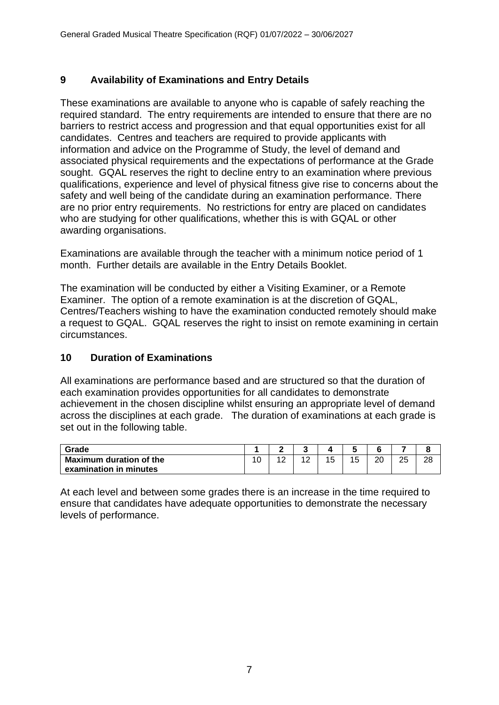# **9 Availability of Examinations and Entry Details**

These examinations are available to anyone who is capable of safely reaching the required standard. The entry requirements are intended to ensure that there are no barriers to restrict access and progression and that equal opportunities exist for all candidates. Centres and teachers are required to provide applicants with information and advice on the Programme of Study, the level of demand and associated physical requirements and the expectations of performance at the Grade sought. GQAL reserves the right to decline entry to an examination where previous qualifications, experience and level of physical fitness give rise to concerns about the safety and well being of the candidate during an examination performance*.* There are no prior entry requirements. No restrictions for entry are placed on candidates who are studying for other qualifications, whether this is with GQAL or other awarding organisations.

Examinations are available through the teacher with a minimum notice period of 1 month. Further details are available in the Entry Details Booklet.

The examination will be conducted by either a Visiting Examiner, or a Remote Examiner. The option of a remote examination is at the discretion of GQAL, Centres/Teachers wishing to have the examination conducted remotely should make a request to GQAL. GQAL reserves the right to insist on remote examining in certain circumstances.

# **10 Duration of Examinations**

All examinations are performance based and are structured so that the duration of each examination provides opportunities for all candidates to demonstrate achievement in the chosen discipline whilst ensuring an appropriate level of demand across the disciplines at each grade. The duration of examinations at each grade is set out in the following table.

| Grade                   |    |                        |             |    |    |          |          |    |
|-------------------------|----|------------------------|-------------|----|----|----------|----------|----|
| Maximum duration of the | 10 | $\sqrt{2}$<br><u>_</u> | $\sim$<br>∼ | 15 | 15 | ററ<br>∠∪ | つに<br>∠J | 28 |
| examination in minutes  |    |                        |             |    |    |          |          |    |

At each level and between some grades there is an increase in the time required to ensure that candidates have adequate opportunities to demonstrate the necessary levels of performance.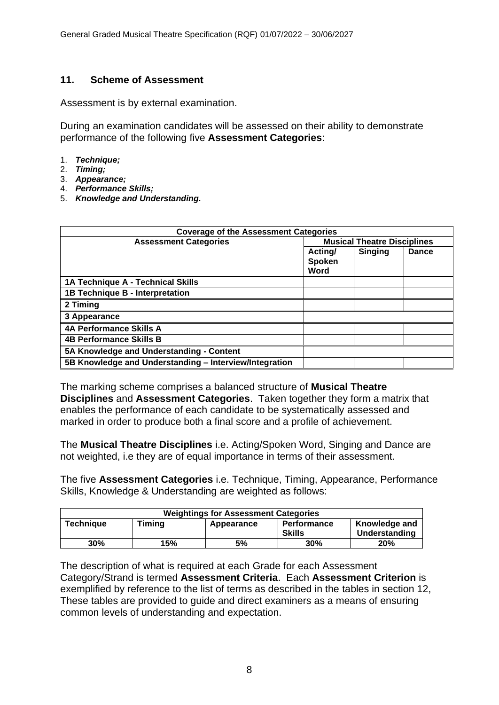### **11. Scheme of Assessment**

Assessment is by external examination.

During an examination candidates will be assessed on their ability to demonstrate performance of the following five **Assessment Categories**:

- 1. *Technique;*
- 2. *Timing;*
- 3. *Appearance;*
- 4. *Performance Skills;*
- 5. *Knowledge and Understanding.*

| <b>Coverage of the Assessment Categories</b>           |                           |                                    |       |  |  |  |  |
|--------------------------------------------------------|---------------------------|------------------------------------|-------|--|--|--|--|
| <b>Assessment Categories</b>                           |                           | <b>Musical Theatre Disciplines</b> |       |  |  |  |  |
|                                                        | Acting/<br>Spoken<br>Word | <b>Singing</b>                     | Dance |  |  |  |  |
| 1A Technique A - Technical Skills                      |                           |                                    |       |  |  |  |  |
| 1B Technique B - Interpretation                        |                           |                                    |       |  |  |  |  |
| 2 Timing                                               |                           |                                    |       |  |  |  |  |
| 3 Appearance                                           |                           |                                    |       |  |  |  |  |
| <b>4A Performance Skills A</b>                         |                           |                                    |       |  |  |  |  |
| <b>4B Performance Skills B</b>                         |                           |                                    |       |  |  |  |  |
| 5A Knowledge and Understanding - Content               |                           |                                    |       |  |  |  |  |
| 5B Knowledge and Understanding - Interview/Integration |                           |                                    |       |  |  |  |  |

The marking scheme comprises a balanced structure of **Musical Theatre Disciplines** and **Assessment Categories**. Taken together they form a matrix that enables the performance of each candidate to be systematically assessed and marked in order to produce both a final score and a profile of achievement.

The **Musical Theatre Disciplines** i.e. Acting/Spoken Word, Singing and Dance are not weighted, i.e they are of equal importance in terms of their assessment.

The five **Assessment Categories** i.e. Technique, Timing, Appearance, Performance Skills, Knowledge & Understanding are weighted as follows:

| <b>Weightings for Assessment Categories</b> |     |            |                                     |                                |  |  |  |  |
|---------------------------------------------|-----|------------|-------------------------------------|--------------------------------|--|--|--|--|
| Timing<br><b>Technique</b>                  |     | Appearance | <b>Performance</b><br><b>Skills</b> | Knowledge and<br>Understanding |  |  |  |  |
| 30%                                         | 15% | 5%         | 30%                                 | <b>20%</b>                     |  |  |  |  |

The description of what is required at each Grade for each Assessment Category/Strand is termed **Assessment Criteria**. Each **Assessment Criterion** is exemplified by reference to the list of terms as described in the tables in section 12, These tables are provided to guide and direct examiners as a means of ensuring common levels of understanding and expectation.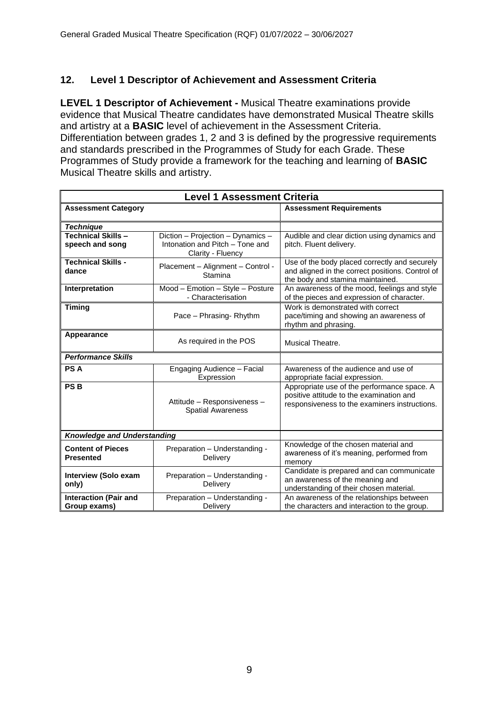### **12. Level 1 Descriptor of Achievement and Assessment Criteria**

**LEVEL 1 Descriptor of Achievement -** Musical Theatre examinations provide evidence that Musical Theatre candidates have demonstrated Musical Theatre skills and artistry at a **BASIC** level of achievement in the Assessment Criteria. Differentiation between grades 1, 2 and 3 is defined by the progressive requirements and standards prescribed in the Programmes of Study for each Grade. These Programmes of Study provide a framework for the teaching and learning of **BASIC**  Musical Theatre skills and artistry.

| <b>Level 1 Assessment Criteria</b>                                                        |                                                                                           |                                                                                                                                          |  |  |  |  |  |  |
|-------------------------------------------------------------------------------------------|-------------------------------------------------------------------------------------------|------------------------------------------------------------------------------------------------------------------------------------------|--|--|--|--|--|--|
| <b>Assessment Category</b>                                                                |                                                                                           | <b>Assessment Requirements</b>                                                                                                           |  |  |  |  |  |  |
| <b>Technique</b>                                                                          |                                                                                           |                                                                                                                                          |  |  |  |  |  |  |
| <b>Technical Skills-</b><br>speech and song                                               | Diction - Projection - Dynamics -<br>Intonation and Pitch - Tone and<br>Clarity - Fluency | Audible and clear diction using dynamics and<br>pitch. Fluent delivery.                                                                  |  |  |  |  |  |  |
| <b>Technical Skills -</b><br>dance                                                        | Placement - Alignment - Control -<br>Stamina                                              | Use of the body placed correctly and securely<br>and aligned in the correct positions. Control of<br>the body and stamina maintained.    |  |  |  |  |  |  |
| Interpretation                                                                            | Mood - Emotion - Style - Posture<br>- Characterisation                                    | An awareness of the mood, feelings and style<br>of the pieces and expression of character.                                               |  |  |  |  |  |  |
| <b>Timing</b>                                                                             | Pace - Phrasing-Rhythm                                                                    | Work is demonstrated with correct<br>pace/timing and showing an awareness of<br>rhythm and phrasing.                                     |  |  |  |  |  |  |
| Appearance                                                                                | As required in the POS                                                                    | <b>Musical Theatre.</b>                                                                                                                  |  |  |  |  |  |  |
| <b>Performance Skills</b>                                                                 |                                                                                           |                                                                                                                                          |  |  |  |  |  |  |
| PS A                                                                                      | Engaging Audience - Facial<br>Expression                                                  | Awareness of the audience and use of<br>appropriate facial expression.                                                                   |  |  |  |  |  |  |
| <b>PSB</b>                                                                                | Attitude - Responsiveness -<br><b>Spatial Awareness</b>                                   | Appropriate use of the performance space. A<br>positive attitude to the examination and<br>responsiveness to the examiners instructions. |  |  |  |  |  |  |
| <b>Knowledge and Understanding</b>                                                        |                                                                                           |                                                                                                                                          |  |  |  |  |  |  |
| <b>Content of Pieces</b><br>Preparation - Understanding -<br><b>Presented</b><br>Delivery |                                                                                           | Knowledge of the chosen material and<br>awareness of it's meaning, performed from<br>memory                                              |  |  |  |  |  |  |
| <b>Interview (Solo exam</b><br>only)                                                      | Preparation - Understanding -<br>Delivery                                                 | Candidate is prepared and can communicate<br>an awareness of the meaning and<br>understanding of their chosen material.                  |  |  |  |  |  |  |
| <b>Interaction (Pair and</b><br>Group exams)                                              | Preparation - Understanding -<br>Delivery                                                 | An awareness of the relationships between<br>the characters and interaction to the group.                                                |  |  |  |  |  |  |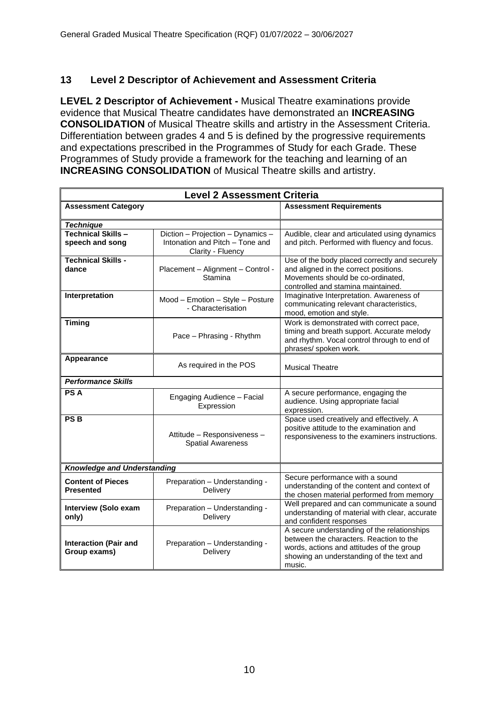# **13 Level 2 Descriptor of Achievement and Assessment Criteria**

**LEVEL 2 Descriptor of Achievement -** Musical Theatre examinations provide evidence that Musical Theatre candidates have demonstrated an **INCREASING CONSOLIDATION** of Musical Theatre skills and artistry in the Assessment Criteria. Differentiation between grades 4 and 5 is defined by the progressive requirements and expectations prescribed in the Programmes of Study for each Grade. These Programmes of Study provide a framework for the teaching and learning of an **INCREASING CONSOLIDATION** of Musical Theatre skills and artistry.

|                                              | <b>Level 2 Assessment Criteria</b>                                                        |                                                                                                                                                                                           |  |  |  |  |  |  |  |
|----------------------------------------------|-------------------------------------------------------------------------------------------|-------------------------------------------------------------------------------------------------------------------------------------------------------------------------------------------|--|--|--|--|--|--|--|
| <b>Assessment Category</b>                   |                                                                                           | <b>Assessment Requirements</b>                                                                                                                                                            |  |  |  |  |  |  |  |
| <b>Technique</b>                             |                                                                                           |                                                                                                                                                                                           |  |  |  |  |  |  |  |
| <b>Technical Skills-</b><br>speech and song  | Diction - Projection - Dynamics -<br>Intonation and Pitch - Tone and<br>Clarity - Fluency | Audible, clear and articulated using dynamics<br>and pitch. Performed with fluency and focus.                                                                                             |  |  |  |  |  |  |  |
| <b>Technical Skills -</b><br>dance           | Placement - Alignment - Control -<br>Stamina                                              | Use of the body placed correctly and securely<br>and aligned in the correct positions.<br>Movements should be co-ordinated,<br>controlled and stamina maintained.                         |  |  |  |  |  |  |  |
| Interpretation                               | Mood - Emotion - Style - Posture<br>- Characterisation                                    | Imaginative Interpretation. Awareness of<br>communicating relevant characteristics,<br>mood, emotion and style.                                                                           |  |  |  |  |  |  |  |
| <b>Timing</b>                                | Pace - Phrasing - Rhythm                                                                  | Work is demonstrated with correct pace,<br>timing and breath support. Accurate melody<br>and rhythm. Vocal control through to end of<br>phrases/ spoken work.                             |  |  |  |  |  |  |  |
| Appearance                                   | As required in the POS                                                                    | <b>Musical Theatre</b>                                                                                                                                                                    |  |  |  |  |  |  |  |
| <b>Performance Skills</b>                    |                                                                                           |                                                                                                                                                                                           |  |  |  |  |  |  |  |
| <b>PSA</b>                                   | Engaging Audience - Facial<br>Expression                                                  | A secure performance, engaging the<br>audience. Using appropriate facial<br>expression.                                                                                                   |  |  |  |  |  |  |  |
| <b>PSB</b>                                   | Attitude - Responsiveness -<br><b>Spatial Awareness</b>                                   | Space used creatively and effectively. A<br>positive attitude to the examination and<br>responsiveness to the examiners instructions.                                                     |  |  |  |  |  |  |  |
| <b>Knowledge and Understanding</b>           |                                                                                           |                                                                                                                                                                                           |  |  |  |  |  |  |  |
| <b>Content of Pieces</b><br><b>Presented</b> | Preparation - Understanding -<br>Delivery                                                 | Secure performance with a sound<br>understanding of the content and context of<br>the chosen material performed from memory                                                               |  |  |  |  |  |  |  |
| <b>Interview (Solo exam</b><br>only)         | Preparation - Understanding -<br>Delivery                                                 | Well prepared and can communicate a sound<br>understanding of material with clear, accurate<br>and confident responses                                                                    |  |  |  |  |  |  |  |
| <b>Interaction (Pair and</b><br>Group exams) | Preparation - Understanding -<br>Delivery                                                 | A secure understanding of the relationships<br>between the characters. Reaction to the<br>words, actions and attitudes of the group<br>showing an understanding of the text and<br>music. |  |  |  |  |  |  |  |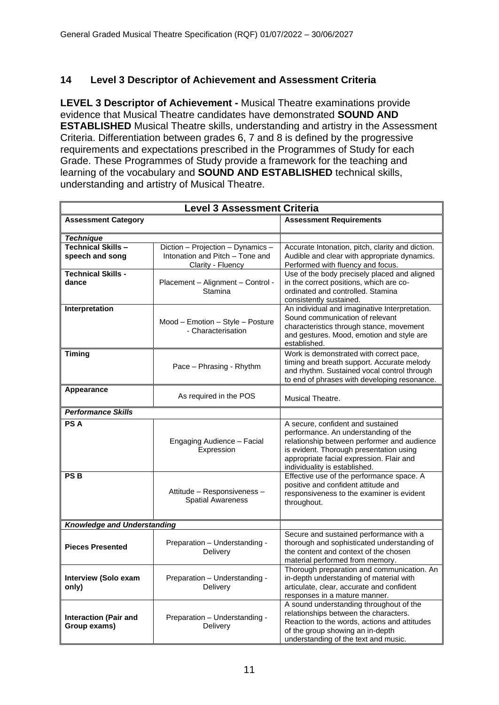# **14 Level 3 Descriptor of Achievement and Assessment Criteria**

**LEVEL 3 Descriptor of Achievement -** Musical Theatre examinations provide evidence that Musical Theatre candidates have demonstrated **SOUND AND ESTABLISHED** Musical Theatre skills, understanding and artistry in the Assessment Criteria. Differentiation between grades 6, 7 and 8 is defined by the progressive requirements and expectations prescribed in the Programmes of Study for each Grade. These Programmes of Study provide a framework for the teaching and learning of the vocabulary and **SOUND AND ESTABLISHED** technical skills, understanding and artistry of Musical Theatre.

| <b>Level 3 Assessment Criteria</b>                                         |                                                                                           |                                                                                                                                                                                                                                                  |  |  |  |  |  |  |
|----------------------------------------------------------------------------|-------------------------------------------------------------------------------------------|--------------------------------------------------------------------------------------------------------------------------------------------------------------------------------------------------------------------------------------------------|--|--|--|--|--|--|
| <b>Assessment Category</b>                                                 |                                                                                           | <b>Assessment Requirements</b>                                                                                                                                                                                                                   |  |  |  |  |  |  |
| <b>Technique</b>                                                           |                                                                                           |                                                                                                                                                                                                                                                  |  |  |  |  |  |  |
| <b>Technical Skills-</b><br>speech and song                                | Diction - Projection - Dynamics -<br>Intonation and Pitch - Tone and<br>Clarity - Fluency | Accurate Intonation, pitch, clarity and diction.<br>Audible and clear with appropriate dynamics.<br>Performed with fluency and focus.                                                                                                            |  |  |  |  |  |  |
| <b>Technical Skills -</b><br>dance                                         | Placement - Alignment - Control -<br>Stamina                                              | Use of the body precisely placed and aligned<br>in the correct positions, which are co-<br>ordinated and controlled. Stamina<br>consistently sustained.                                                                                          |  |  |  |  |  |  |
| Interpretation                                                             | Mood - Emotion - Style - Posture<br>- Characterisation                                    | An individual and imaginative Interpretation.<br>Sound communication of relevant<br>characteristics through stance, movement<br>and gestures. Mood, emotion and style are<br>established.                                                        |  |  |  |  |  |  |
| <b>Timing</b>                                                              | Pace - Phrasing - Rhythm                                                                  | Work is demonstrated with correct pace,<br>timing and breath support. Accurate melody<br>and rhythm. Sustained vocal control through<br>to end of phrases with developing resonance.                                                             |  |  |  |  |  |  |
| Appearance                                                                 | As required in the POS                                                                    | Musical Theatre.                                                                                                                                                                                                                                 |  |  |  |  |  |  |
| <b>Performance Skills</b>                                                  |                                                                                           |                                                                                                                                                                                                                                                  |  |  |  |  |  |  |
| <b>PSA</b>                                                                 | Engaging Audience - Facial<br>Expression                                                  | A secure, confident and sustained<br>performance. An understanding of the<br>relationship between performer and audience<br>is evident. Thorough presentation using<br>appropriate facial expression. Flair and<br>individuality is established. |  |  |  |  |  |  |
| PS <sub>B</sub><br>Attitude - Responsiveness -<br><b>Spatial Awareness</b> |                                                                                           | Effective use of the performance space. A<br>positive and confident attitude and<br>responsiveness to the examiner is evident<br>throughout.                                                                                                     |  |  |  |  |  |  |
| <b>Knowledge and Understanding</b>                                         |                                                                                           |                                                                                                                                                                                                                                                  |  |  |  |  |  |  |
| <b>Pieces Presented</b>                                                    | Preparation - Understanding -<br>Delivery                                                 | Secure and sustained performance with a<br>thorough and sophisticated understanding of<br>the content and context of the chosen<br>material performed from memory.                                                                               |  |  |  |  |  |  |
| <b>Interview (Solo exam</b><br>only)                                       | Preparation - Understanding<br>Delivery                                                   | Thorough preparation and communication. An<br>in-depth understanding of material with<br>articulate, clear, accurate and confident<br>responses in a mature manner.                                                                              |  |  |  |  |  |  |
| <b>Interaction (Pair and</b><br>Group exams)                               | Preparation - Understanding -<br>Delivery                                                 | A sound understanding throughout of the<br>relationships between the characters.<br>Reaction to the words, actions and attitudes<br>of the group showing an in-depth<br>understanding of the text and music.                                     |  |  |  |  |  |  |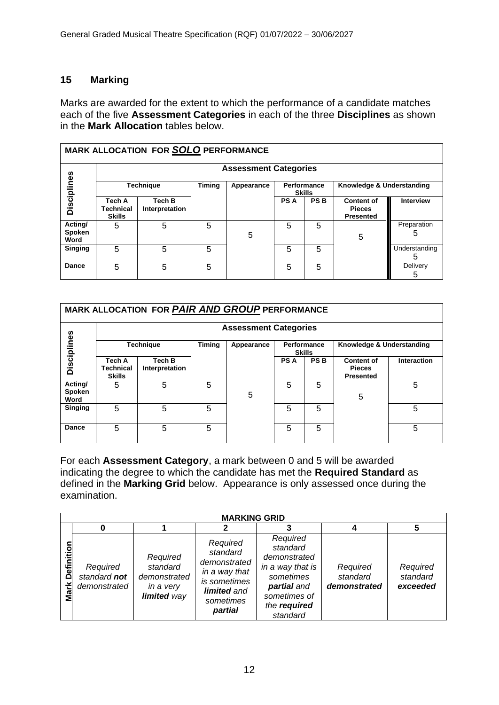# **15 Marking**

Marks are awarded for the extent to which the performance of a candidate matches each of the five **Assessment Categories** in each of the three **Disciplines** as shown in the **Mark Allocation** tables below.

|                           | <b>MARK ALLOCATION FOR SOLO PERFORMANCE</b> |                          |   |            |                              |            |                                                        |                    |  |  |  |
|---------------------------|---------------------------------------------|--------------------------|---|------------|------------------------------|------------|--------------------------------------------------------|--------------------|--|--|--|
|                           | <b>Assessment Categories</b>                |                          |   |            |                              |            |                                                        |                    |  |  |  |
|                           |                                             | <b>Technique</b>         |   | Appearance | Performance<br><b>Skills</b> |            | Knowledge & Understanding                              |                    |  |  |  |
| <b>Disciplines</b>        | Tech A<br>Technical<br><b>Skills</b>        | Tech B<br>Interpretation |   |            | <b>PSA</b>                   | <b>PSB</b> | <b>Content of</b><br><b>Pieces</b><br><b>Presented</b> | <b>Interview</b>   |  |  |  |
| Acting/<br>Spoken<br>Word | 5                                           | 5                        | 5 | 5          | 5                            | 5          | 5                                                      | Preparation<br>5   |  |  |  |
| <b>Singing</b>            | 5                                           | 5                        | 5 |            | 5                            | 5          |                                                        | Understanding<br>5 |  |  |  |
| Dance                     | 5                                           | 5                        | 5 |            | 5                            | 5          |                                                        | Delivery<br>5      |  |  |  |

| MARK ALLOCATION FOR PAIR AND GROUP PERFORMANCE |                                             |                          |               |            |            |                              |                                                        |                    |  |  |  |
|------------------------------------------------|---------------------------------------------|--------------------------|---------------|------------|------------|------------------------------|--------------------------------------------------------|--------------------|--|--|--|
|                                                | <b>Assessment Categories</b>                |                          |               |            |            |                              |                                                        |                    |  |  |  |
| <b>Technique</b>                               |                                             |                          | <b>Timing</b> | Appearance |            | Performance<br><b>Skills</b> | Knowledge & Understanding                              |                    |  |  |  |
| Disciplines                                    | Tech A<br><b>Technical</b><br><b>Skills</b> | Tech B<br>Interpretation |               |            | <b>PSA</b> | <b>PSB</b>                   | <b>Content of</b><br><b>Pieces</b><br><b>Presented</b> | <b>Interaction</b> |  |  |  |
| Acting/<br>Spoken<br>Word                      | 5                                           | 5                        | 5             | 5          | 5          | 5                            | 5                                                      | 5                  |  |  |  |
| <b>Singing</b>                                 | 5                                           | 5                        | 5             |            | 5          | 5                            |                                                        | 5                  |  |  |  |
| <b>Dance</b>                                   | 5                                           | 5                        | 5             |            | 5          | 5                            |                                                        | 5                  |  |  |  |

For each **Assessment Category**, a mark between 0 and 5 will be awarded indicating the degree to which the candidate has met the **Required Standard** as defined in the **Marking Grid** below. Appearance is only assessed once during the examination.

|                           | <b>MARKING GRID</b>                      |                                                                  |                                                                                                              |                                                                                                                                  |                                      |                                  |  |  |  |  |  |
|---------------------------|------------------------------------------|------------------------------------------------------------------|--------------------------------------------------------------------------------------------------------------|----------------------------------------------------------------------------------------------------------------------------------|--------------------------------------|----------------------------------|--|--|--|--|--|
|                           |                                          |                                                                  |                                                                                                              |                                                                                                                                  |                                      |                                  |  |  |  |  |  |
| <b>Definition</b><br>Mark | Required<br>standard not<br>demonstrated | Required<br>standard<br>demonstrated<br>in a very<br>limited way | Required<br>standard<br>demonstrated<br>in a way that<br>is sometimes<br>limited and<br>sometimes<br>partial | Required<br>standard<br>demonstrated<br>in a way that is<br>sometimes<br>partial and<br>sometimes of<br>the required<br>standard | Required<br>standard<br>demonstrated | Required<br>standard<br>exceeded |  |  |  |  |  |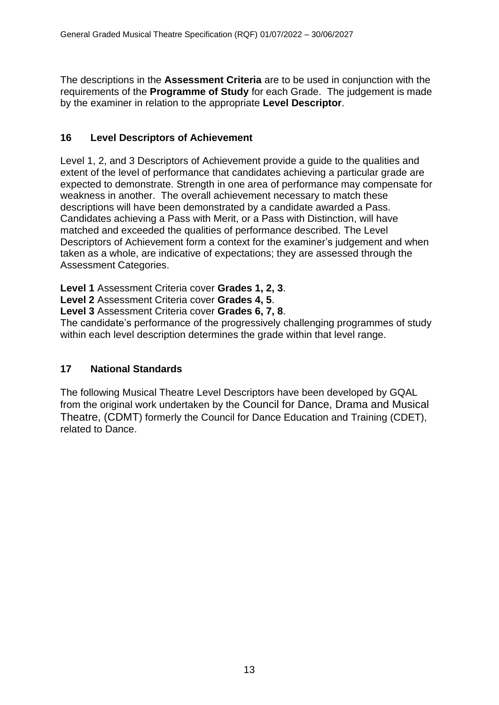The descriptions in the **Assessment Criteria** are to be used in conjunction with the requirements of the **Programme of Study** for each Grade. The judgement is made by the examiner in relation to the appropriate **Level Descriptor**.

# **16 Level Descriptors of Achievement**

Level 1, 2, and 3 Descriptors of Achievement provide a guide to the qualities and extent of the level of performance that candidates achieving a particular grade are expected to demonstrate. Strength in one area of performance may compensate for weakness in another. The overall achievement necessary to match these descriptions will have been demonstrated by a candidate awarded a Pass. Candidates achieving a Pass with Merit, or a Pass with Distinction, will have matched and exceeded the qualities of performance described. The Level Descriptors of Achievement form a context for the examiner's judgement and when taken as a whole, are indicative of expectations; they are assessed through the Assessment Categories.

**Level 1** Assessment Criteria cover **Grades 1, 2, 3**.

**Level 2** Assessment Criteria cover **Grades 4, 5**.

**Level 3** Assessment Criteria cover **Grades 6, 7, 8**.

The candidate's performance of the progressively challenging programmes of study within each level description determines the grade within that level range.

# **17 National Standards**

The following Musical Theatre Level Descriptors have been developed by GQAL from the original work undertaken by the Council for Dance, Drama and Musical Theatre, (CDMT) formerly the Council for Dance Education and Training (CDET), related to Dance.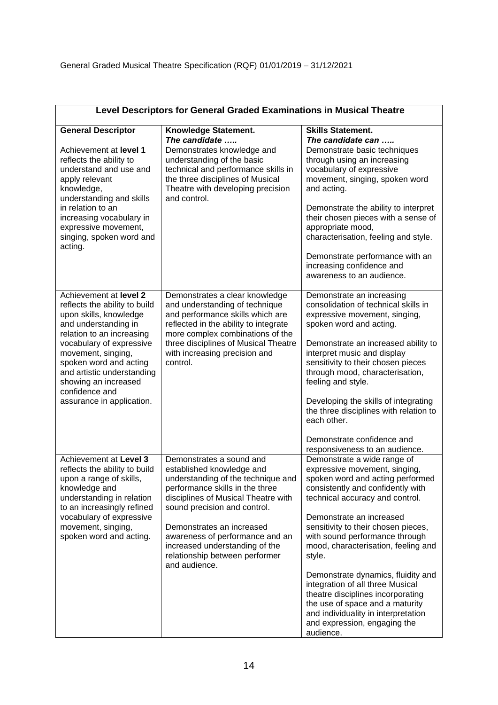| Level Descriptors for General Graded Examinations in Musical Theatre                                                                                                                                                                                                                                                    |                                                                                                                                                                                                                                                                                                                                                            |                                                                                                                                                                                                                                                                                                                                                                                                                                                                                                                                                                                                        |  |  |
|-------------------------------------------------------------------------------------------------------------------------------------------------------------------------------------------------------------------------------------------------------------------------------------------------------------------------|------------------------------------------------------------------------------------------------------------------------------------------------------------------------------------------------------------------------------------------------------------------------------------------------------------------------------------------------------------|--------------------------------------------------------------------------------------------------------------------------------------------------------------------------------------------------------------------------------------------------------------------------------------------------------------------------------------------------------------------------------------------------------------------------------------------------------------------------------------------------------------------------------------------------------------------------------------------------------|--|--|
| <b>General Descriptor</b>                                                                                                                                                                                                                                                                                               | Knowledge Statement.<br>The candidate                                                                                                                                                                                                                                                                                                                      | <b>Skills Statement.</b><br>The candidate can                                                                                                                                                                                                                                                                                                                                                                                                                                                                                                                                                          |  |  |
| Achievement at level 1<br>reflects the ability to<br>understand and use and<br>apply relevant<br>knowledge,<br>understanding and skills<br>in relation to an<br>increasing vocabulary in<br>expressive movement,<br>singing, spoken word and<br>acting.                                                                 | Demonstrates knowledge and<br>understanding of the basic<br>technical and performance skills in<br>the three disciplines of Musical<br>Theatre with developing precision<br>and control.                                                                                                                                                                   | Demonstrate basic techniques<br>through using an increasing<br>vocabulary of expressive<br>movement, singing, spoken word<br>and acting.<br>Demonstrate the ability to interpret<br>their chosen pieces with a sense of<br>appropriate mood,<br>characterisation, feeling and style.<br>Demonstrate performance with an<br>increasing confidence and<br>awareness to an audience.                                                                                                                                                                                                                      |  |  |
| Achievement at level 2<br>reflects the ability to build<br>upon skills, knowledge<br>and understanding in<br>relation to an increasing<br>vocabulary of expressive<br>movement, singing,<br>spoken word and acting<br>and artistic understanding<br>showing an increased<br>confidence and<br>assurance in application. | Demonstrates a clear knowledge<br>and understanding of technique<br>and performance skills which are<br>reflected in the ability to integrate<br>more complex combinations of the<br>three disciplines of Musical Theatre<br>with increasing precision and<br>control.                                                                                     | Demonstrate an increasing<br>consolidation of technical skills in<br>expressive movement, singing,<br>spoken word and acting.<br>Demonstrate an increased ability to<br>interpret music and display<br>sensitivity to their chosen pieces<br>through mood, characterisation,<br>feeling and style.<br>Developing the skills of integrating<br>the three disciplines with relation to<br>each other.<br>Demonstrate confidence and                                                                                                                                                                      |  |  |
| Achievement at Level 3<br>reflects the ability to build<br>upon a range of skills,<br>knowledge and<br>understanding in relation<br>to an increasingly refined<br>vocabulary of expressive<br>movement, singing,<br>spoken word and acting.                                                                             | Demonstrates a sound and<br>established knowledge and<br>understanding of the technique and<br>performance skills in the three<br>disciplines of Musical Theatre with<br>sound precision and control.<br>Demonstrates an increased<br>awareness of performance and an<br>increased understanding of the<br>relationship between performer<br>and audience. | responsiveness to an audience.<br>Demonstrate a wide range of<br>expressive movement, singing,<br>spoken word and acting performed<br>consistently and confidently with<br>technical accuracy and control.<br>Demonstrate an increased<br>sensitivity to their chosen pieces,<br>with sound performance through<br>mood, characterisation, feeling and<br>style.<br>Demonstrate dynamics, fluidity and<br>integration of all three Musical<br>theatre disciplines incorporating<br>the use of space and a maturity<br>and individuality in interpretation<br>and expression, engaging the<br>audience. |  |  |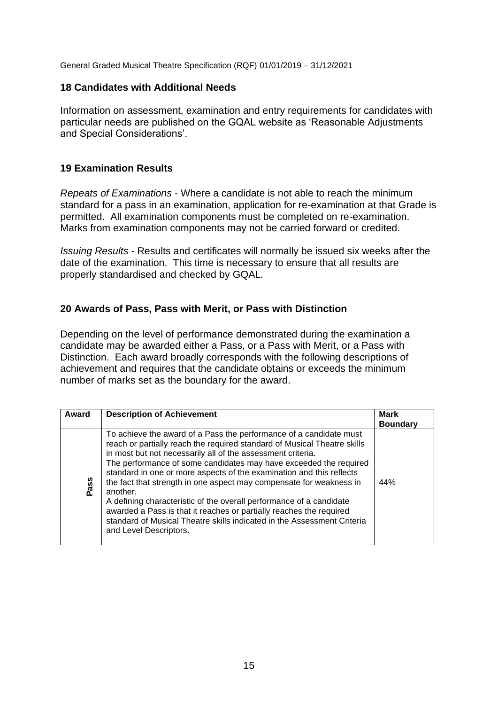General Graded Musical Theatre Specification (RQF) 01/01/2019 – 31/12/2021

#### **18 Candidates with Additional Needs**

Information on assessment, examination and entry requirements for candidates with particular needs are published on the GQAL website as 'Reasonable Adjustments and Special Considerations'.

#### **19 Examination Results**

*Repeats of Examinations* - Where a candidate is not able to reach the minimum standard for a pass in an examination, application for re-examination at that Grade is permitted. All examination components must be completed on re-examination. Marks from examination components may not be carried forward or credited.

*Issuing Results* - Results and certificates will normally be issued six weeks after the date of the examination. This time is necessary to ensure that all results are properly standardised and checked by GQAL.

#### **20 Awards of Pass, Pass with Merit, or Pass with Distinction**

Depending on the level of performance demonstrated during the examination a candidate may be awarded either a Pass, or a Pass with Merit, or a Pass with Distinction. Each award broadly corresponds with the following descriptions of achievement and requires that the candidate obtains or exceeds the minimum number of marks set as the boundary for the award.

| Award | <b>Description of Achievement</b>                                                                                                                                                                                                                                                                                                                                                                                                                                                                                                                                                                                                                                                                | <b>Mark</b><br><b>Boundary</b> |
|-------|--------------------------------------------------------------------------------------------------------------------------------------------------------------------------------------------------------------------------------------------------------------------------------------------------------------------------------------------------------------------------------------------------------------------------------------------------------------------------------------------------------------------------------------------------------------------------------------------------------------------------------------------------------------------------------------------------|--------------------------------|
| Pass  | To achieve the award of a Pass the performance of a candidate must<br>reach or partially reach the required standard of Musical Theatre skills<br>in most but not necessarily all of the assessment criteria.<br>The performance of some candidates may have exceeded the required<br>standard in one or more aspects of the examination and this reflects<br>the fact that strength in one aspect may compensate for weakness in<br>another.<br>A defining characteristic of the overall performance of a candidate<br>awarded a Pass is that it reaches or partially reaches the required<br>standard of Musical Theatre skills indicated in the Assessment Criteria<br>and Level Descriptors. | 44%                            |